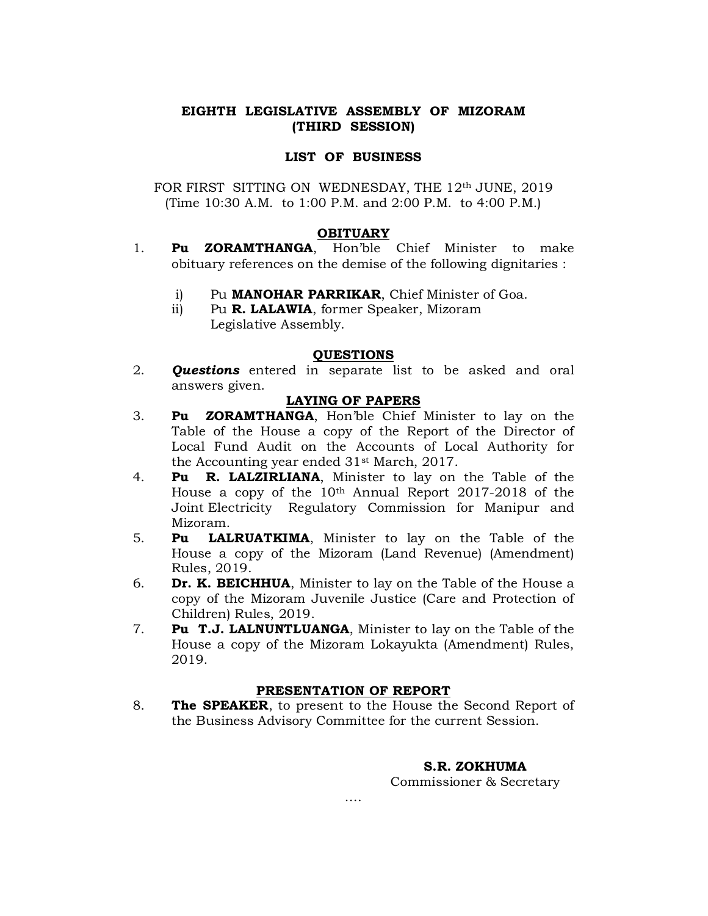# EIGHTH LEGISLATIVE ASSEMBLY OF MIZORAM (THIRD SESSION)

### LIST OF BUSINESS

FOR FIRST SITTING ON WEDNESDAY, THE 12<sup>th</sup> JUNE, 2019 (Time 10:30 A.M. to 1:00 P.M. and 2:00 P.M. to 4:00 P.M.)

#### **OBITUARY**

- 1. Pu ZORAMTHANGA, Hon'ble Chief Minister to make obituary references on the demise of the following dignitaries :
	- i) Pu MANOHAR PARRIKAR, Chief Minister of Goa.
	- ii) Pu R. LALAWIA, former Speaker, Mizoram Legislative Assembly.

#### QUESTIONS

2. **Questions** entered in separate list to be asked and oral answers given.

#### LAYING OF PAPERS

- 3. Pu ZORAMTHANGA, Hon'ble Chief Minister to lay on the Table of the House a copy of the Report of the Director of Local Fund Audit on the Accounts of Local Authority for the Accounting year ended 31st March, 2017.
- 4. Pu R. LALZIRLIANA, Minister to lay on the Table of the House a copy of the  $10<sup>th</sup>$  Annual Report 2017-2018 of the Joint Electricity Regulatory Commission for Manipur and Mizoram.
- 5. Pu LALRUATKIMA, Minister to lay on the Table of the House a copy of the Mizoram (Land Revenue) (Amendment) Rules, 2019.
- 6. **Dr. K. BEICHHUA**, Minister to lay on the Table of the House a copy of the Mizoram Juvenile Justice (Care and Protection of Children) Rules, 2019.
- 7. Pu T.J. LALNUNTLUANGA, Minister to lay on the Table of the House a copy of the Mizoram Lokayukta (Amendment) Rules, 2019.

## PRESENTATION OF REPORT

8. The SPEAKER, to present to the House the Second Report of the Business Advisory Committee for the current Session.

….

## S.R. ZOKHUMA

Commissioner & Secretary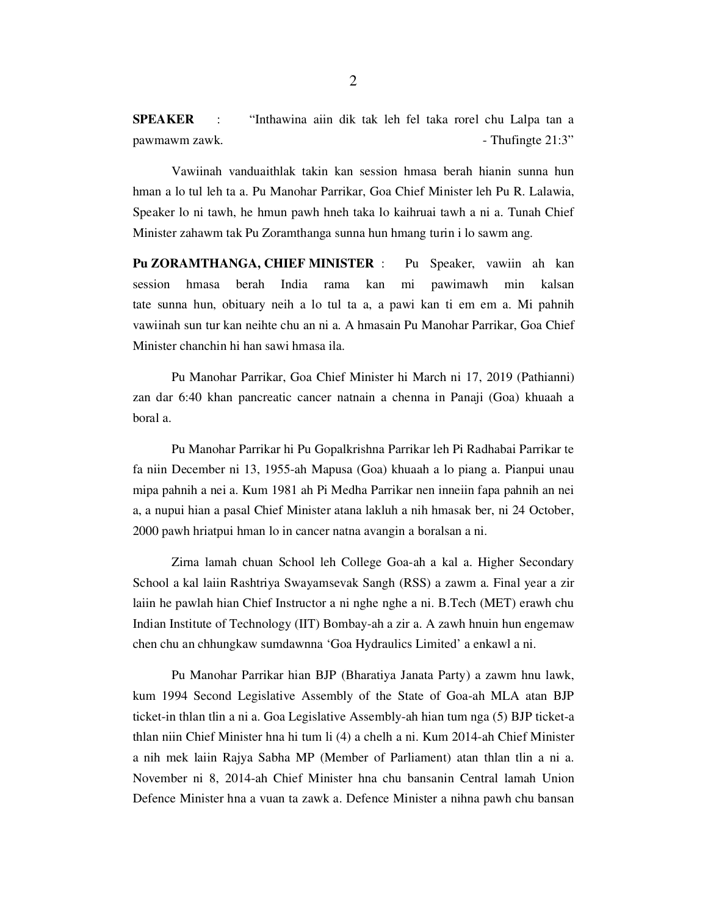SPEAKER : "Inthawina aiin dik tak leh fel taka rorel chu Lalpa tan a pawmawm zawk.  $\blacksquare$ 

 Vawiinah vanduaithlak takin kan session hmasa berah hianin sunna hun hman a lo tul leh ta a. Pu Manohar Parrikar, Goa Chief Minister leh Pu R. Lalawia, Speaker lo ni tawh, he hmun pawh hneh taka lo kaihruai tawh a ni a. Tunah Chief Minister zahawm tak Pu Zoramthanga sunna hun hmang turin i lo sawm ang.

Pu ZORAMTHANGA, CHIEF MINISTER : Pu Speaker, vawiin ah kan session hmasa berah India rama kan mi pawimawh min kalsan tate sunna hun, obituary neih a lo tul ta a, a pawi kan ti em em a. Mi pahnih vawiinah sun tur kan neihte chu an ni a. A hmasain Pu Manohar Parrikar, Goa Chief Minister chanchin hi han sawi hmasa ila.

 Pu Manohar Parrikar, Goa Chief Minister hi March ni 17, 2019 (Pathianni) zan dar 6:40 khan pancreatic cancer natnain a chenna in Panaji (Goa) khuaah a boral a.

 Pu Manohar Parrikar hi Pu Gopalkrishna Parrikar leh Pi Radhabai Parrikar te fa niin December ni 13, 1955-ah Mapusa (Goa) khuaah a lo piang a. Pianpui unau mipa pahnih a nei a. Kum 1981 ah Pi Medha Parrikar nen inneiin fapa pahnih an nei a, a nupui hian a pasal Chief Minister atana lakluh a nih hmasak ber, ni 24 October, 2000 pawh hriatpui hman lo in cancer natna avangin a boralsan a ni.

 Zirna lamah chuan School leh College Goa-ah a kal a. Higher Secondary School a kal laiin Rashtriya Swayamsevak Sangh (RSS) a zawm a. Final year a zir laiin he pawlah hian Chief Instructor a ni nghe nghe a ni. B.Tech (MET) erawh chu Indian Institute of Technology (IIT) Bombay-ah a zir a. A zawh hnuin hun engemaw chen chu an chhungkaw sumdawnna 'Goa Hydraulics Limited' a enkawl a ni.

 Pu Manohar Parrikar hian BJP (Bharatiya Janata Party) a zawm hnu lawk, kum 1994 Second Legislative Assembly of the State of Goa-ah MLA atan BJP ticket-in thlan tlin a ni a. Goa Legislative Assembly-ah hian tum nga (5) BJP ticket-a thlan niin Chief Minister hna hi tum li (4) a chelh a ni. Kum 2014-ah Chief Minister a nih mek laiin Rajya Sabha MP (Member of Parliament) atan thlan tlin a ni a. November ni 8, 2014-ah Chief Minister hna chu bansanin Central lamah Union Defence Minister hna a vuan ta zawk a. Defence Minister a nihna pawh chu bansan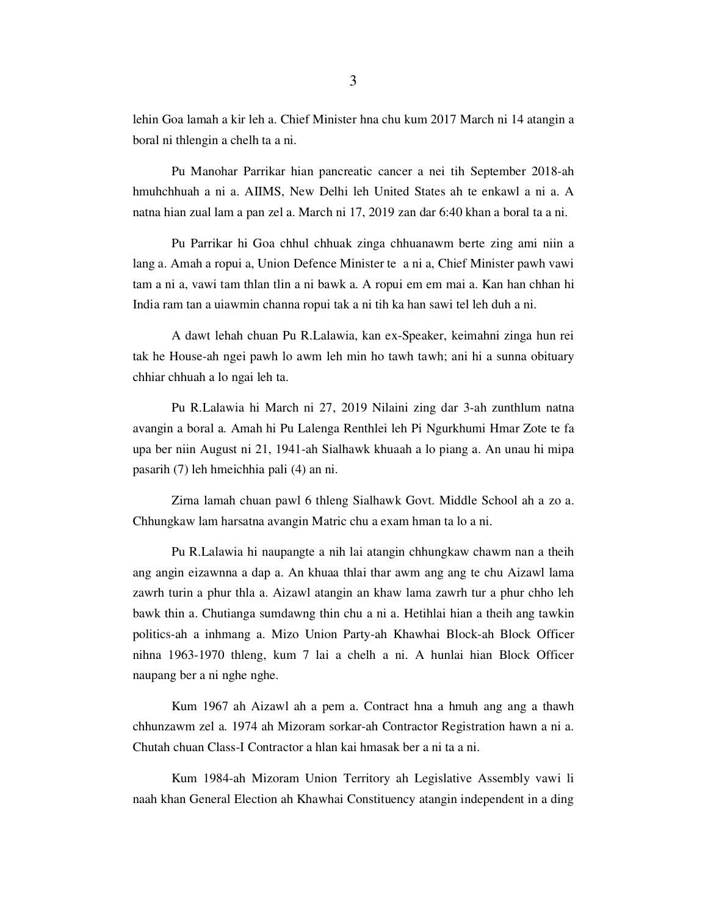lehin Goa lamah a kir leh a. Chief Minister hna chu kum 2017 March ni 14 atangin a boral ni thlengin a chelh ta a ni.

 Pu Manohar Parrikar hian pancreatic cancer a nei tih September 2018-ah hmuhchhuah a ni a. AIIMS, New Delhi leh United States ah te enkawl a ni a. A natna hian zual lam a pan zel a. March ni 17, 2019 zan dar 6:40 khan a boral ta a ni.

 Pu Parrikar hi Goa chhul chhuak zinga chhuanawm berte zing ami niin a lang a. Amah a ropui a, Union Defence Minister te a ni a, Chief Minister pawh vawi tam a ni a, vawi tam thlan tlin a ni bawk a. A ropui em em mai a. Kan han chhan hi India ram tan a uiawmin channa ropui tak a ni tih ka han sawi tel leh duh a ni.

 A dawt lehah chuan Pu R.Lalawia, kan ex-Speaker, keimahni zinga hun rei tak he House-ah ngei pawh lo awm leh min ho tawh tawh; ani hi a sunna obituary chhiar chhuah a lo ngai leh ta.

 Pu R.Lalawia hi March ni 27, 2019 Nilaini zing dar 3-ah zunthlum natna avangin a boral a. Amah hi Pu Lalenga Renthlei leh Pi Ngurkhumi Hmar Zote te fa upa ber niin August ni 21, 1941-ah Sialhawk khuaah a lo piang a. An unau hi mipa pasarih (7) leh hmeichhia pali (4) an ni.

 Zirna lamah chuan pawl 6 thleng Sialhawk Govt. Middle School ah a zo a. Chhungkaw lam harsatna avangin Matric chu a exam hman ta lo a ni.

 Pu R.Lalawia hi naupangte a nih lai atangin chhungkaw chawm nan a theih ang angin eizawnna a dap a. An khuaa thlai thar awm ang ang te chu Aizawl lama zawrh turin a phur thla a. Aizawl atangin an khaw lama zawrh tur a phur chho leh bawk thin a. Chutianga sumdawng thin chu a ni a. Hetihlai hian a theih ang tawkin politics-ah a inhmang a. Mizo Union Party-ah Khawhai Block-ah Block Officer nihna 1963-1970 thleng, kum 7 lai a chelh a ni. A hunlai hian Block Officer naupang ber a ni nghe nghe.

 Kum 1967 ah Aizawl ah a pem a. Contract hna a hmuh ang ang a thawh chhunzawm zel a. 1974 ah Mizoram sorkar-ah Contractor Registration hawn a ni a. Chutah chuan Class-I Contractor a hlan kai hmasak ber a ni ta a ni.

 Kum 1984-ah Mizoram Union Territory ah Legislative Assembly vawi li naah khan General Election ah Khawhai Constituency atangin independent in a ding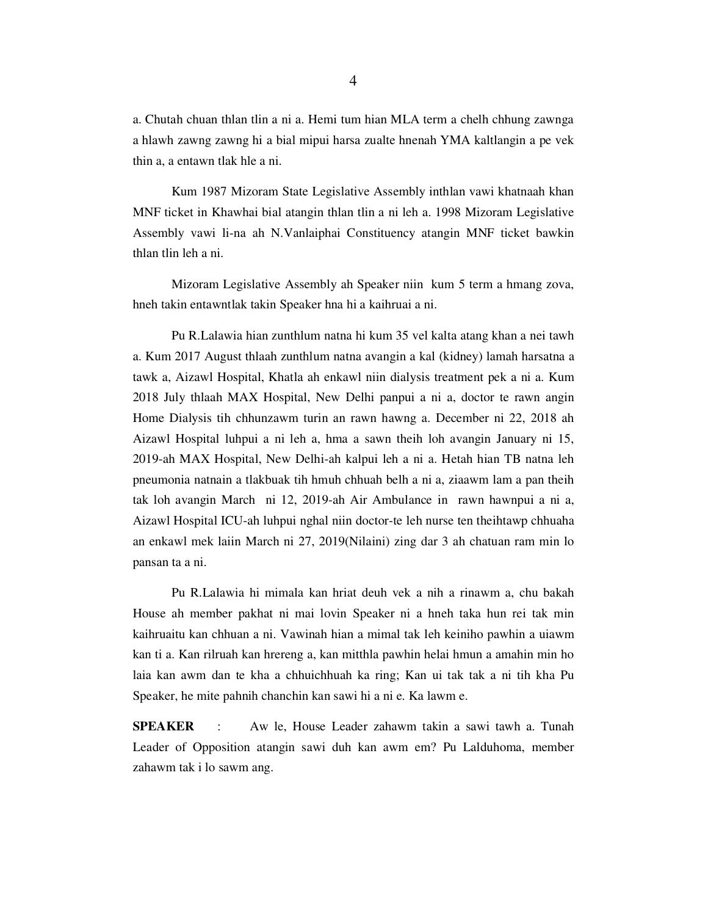a. Chutah chuan thlan tlin a ni a. Hemi tum hian MLA term a chelh chhung zawnga a hlawh zawng zawng hi a bial mipui harsa zualte hnenah YMA kaltlangin a pe vek thin a, a entawn tlak hle a ni.

 Kum 1987 Mizoram State Legislative Assembly inthlan vawi khatnaah khan MNF ticket in Khawhai bial atangin thlan tlin a ni leh a. 1998 Mizoram Legislative Assembly vawi li-na ah N.Vanlaiphai Constituency atangin MNF ticket bawkin thlan tlin leh a ni.

 Mizoram Legislative Assembly ah Speaker niin kum 5 term a hmang zova, hneh takin entawntlak takin Speaker hna hi a kaihruai a ni.

 Pu R.Lalawia hian zunthlum natna hi kum 35 vel kalta atang khan a nei tawh a. Kum 2017 August thlaah zunthlum natna avangin a kal (kidney) lamah harsatna a tawk a, Aizawl Hospital, Khatla ah enkawl niin dialysis treatment pek a ni a. Kum 2018 July thlaah MAX Hospital, New Delhi panpui a ni a, doctor te rawn angin Home Dialysis tih chhunzawm turin an rawn hawng a. December ni 22, 2018 ah Aizawl Hospital luhpui a ni leh a, hma a sawn theih loh avangin January ni 15, 2019-ah MAX Hospital, New Delhi-ah kalpui leh a ni a. Hetah hian TB natna leh pneumonia natnain a tlakbuak tih hmuh chhuah belh a ni a, ziaawm lam a pan theih tak loh avangin March ni 12, 2019-ah Air Ambulance in rawn hawnpui a ni a, Aizawl Hospital ICU-ah luhpui nghal niin doctor-te leh nurse ten theihtawp chhuaha an enkawl mek laiin March ni 27, 2019(Nilaini) zing dar 3 ah chatuan ram min lo pansan ta a ni.

 Pu R.Lalawia hi mimala kan hriat deuh vek a nih a rinawm a, chu bakah House ah member pakhat ni mai lovin Speaker ni a hneh taka hun rei tak min kaihruaitu kan chhuan a ni. Vawinah hian a mimal tak leh keiniho pawhin a uiawm kan ti a. Kan rilruah kan hrereng a, kan mitthla pawhin helai hmun a amahin min ho laia kan awm dan te kha a chhuichhuah ka ring; Kan ui tak tak a ni tih kha Pu Speaker, he mite pahnih chanchin kan sawi hi a ni e. Ka lawm e.

SPEAKER : Aw le, House Leader zahawm takin a sawi tawh a. Tunah Leader of Opposition atangin sawi duh kan awm em? Pu Lalduhoma, member zahawm tak i lo sawm ang.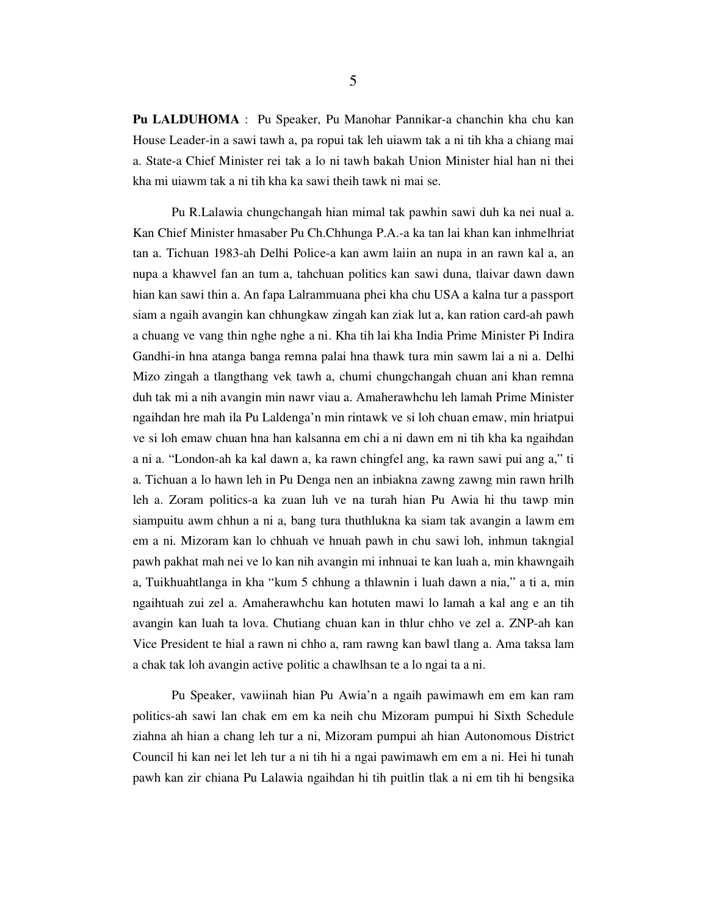Pu LALDUHOMA : Pu Speaker, Pu Manohar Pannikar-a chanchin kha chu kan House Leader-in a sawi tawh a, pa ropui tak leh uiawm tak a ni tih kha a chiang mai a. State-a Chief Minister rei tak a lo ni tawh bakah Union Minister hial han ni thei kha mi uiawm tak a ni tih kha ka sawi theih tawk ni mai se.

 Pu R.Lalawia chungchangah hian mimal tak pawhin sawi duh ka nei nual a. Kan Chief Minister hmasaber Pu Ch.Chhunga P.A.-a ka tan lai khan kan inhmelhriat tan a. Tichuan 1983-ah Delhi Police-a kan awm laiin an nupa in an rawn kal a, an nupa a khawvel fan an tum a, tahchuan politics kan sawi duna, tlaivar dawn dawn hian kan sawi thin a. An fapa Lalrammuana phei kha chu USA a kalna tur a passport siam a ngaih avangin kan chhungkaw zingah kan ziak lut a, kan ration card-ah pawh a chuang ve vang thin nghe nghe a ni. Kha tih lai kha India Prime Minister Pi Indira Gandhi-in hna atanga banga remna palai hna thawk tura min sawm lai a ni a. Delhi Mizo zingah a tlangthang vek tawh a, chumi chungchangah chuan ani khan remna duh tak mi a nih avangin min nawr viau a. Amaherawhchu leh lamah Prime Minister ngaihdan hre mah ila Pu Laldenga'n min rintawk ve si loh chuan emaw, min hriatpui ve si loh emaw chuan hna han kalsanna em chi a ni dawn em ni tih kha ka ngaihdan a ni a. "London-ah ka kal dawn a, ka rawn chingfel ang, ka rawn sawi pui ang a," ti a. Tichuan a lo hawn leh in Pu Denga nen an inbiakna zawng zawng min rawn hrilh leh a. Zoram politics-a ka zuan luh ve na turah hian Pu Awia hi thu tawp min siampuitu awm chhun a ni a, bang tura thuthlukna ka siam tak avangin a lawm em em a ni. Mizoram kan lo chhuah ve hnuah pawh in chu sawi loh, inhmun takngial pawh pakhat mah nei ve lo kan nih avangin mi inhnuai te kan luah a, min khawngaih a, Tuikhuahtlanga in kha "kum 5 chhung a thlawnin i luah dawn a nia," a ti a, min ngaihtuah zui zel a. Amaherawhchu kan hotuten mawi lo lamah a kal ang e an tih avangin kan luah ta lova. Chutiang chuan kan in thlur chho ve zel a. ZNP-ah kan Vice President te hial a rawn ni chho a, ram rawng kan bawl tlang a. Ama taksa lam a chak tak loh avangin active politic a chawlhsan te a lo ngai ta a ni.

 Pu Speaker, vawiinah hian Pu Awia'n a ngaih pawimawh em em kan ram politics-ah sawi lan chak em em ka neih chu Mizoram pumpui hi Sixth Schedule ziahna ah hian a chang leh tur a ni, Mizoram pumpui ah hian Autonomous District Council hi kan nei let leh tur a ni tih hi a ngai pawimawh em em a ni. Hei hi tunah pawh kan zir chiana Pu Lalawia ngaihdan hi tih puitlin tlak a ni em tih hi bengsika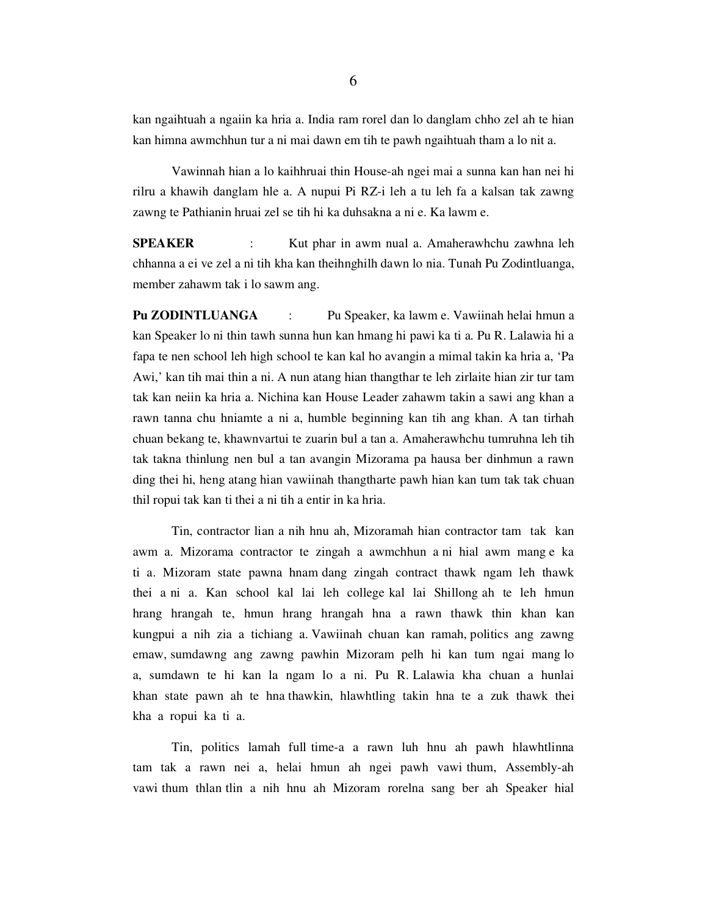kan ngaihtuah a ngaiin ka hria a. India ram rorel dan lo danglam chho zel ah te hian kan himna awmchhun tur a ni mai dawn em tih te pawh ngaihtuah tham a lo nit a.

 Vawinnah hian a lo kaihhruai thin House-ah ngei mai a sunna kan han nei hi rilru a khawih danglam hle a. A nupui Pi RZ-i leh a tu leh fa a kalsan tak zawng zawng te Pathianin hruai zel se tih hi ka duhsakna a ni e. Ka lawm e.

SPEAKER : Kut phar in awm nual a. Amaherawhchu zawhna leh chhanna a ei ve zel a ni tih kha kan theihnghilh dawn lo nia. Tunah Pu Zodintluanga, member zahawm tak i lo sawm ang.

Pu ZODINTLUANGA : Pu Speaker, ka lawm e. Vawiinah helai hmun a kan Speaker lo ni thin tawh sunna hun kan hmang hi pawi ka ti a. Pu R. Lalawia hi a fapa te nen school leh high school te kan kal ho avangin a mimal takin ka hria a, 'Pa Awi,' kan tih mai thin a ni. A nun atang hian thangthar te leh zirlaite hian zir tur tam tak kan neiin ka hria a. Nichina kan House Leader zahawm takin a sawi ang khan a rawn tanna chu hniamte a ni a, humble beginning kan tih ang khan. A tan tirhah chuan bekang te, khawnvartui te zuarin bul a tan a. Amaherawhchu tumruhna leh tih tak takna thinlung nen bul a tan avangin Mizorama pa hausa ber dinhmun a rawn ding thei hi, heng atang hian vawiinah thangtharte pawh hian kan tum tak tak chuan thil ropui tak kan ti thei a ni tih a entir in ka hria.

 Tin, contractor lian a nih hnu ah, Mizoramah hian contractor tam tak kan awm a. Mizorama contractor te zingah a awmchhun a ni hial awm mang e ka ti a. Mizoram state pawna hnam dang zingah contract thawk ngam leh thawk thei a ni a. Kan school kal lai leh college kal lai Shillong ah te leh hmun hrang hrangah te, hmun hrang hrangah hna a rawn thawk thin khan kan kungpui a nih zia a tichiang a. Vawiinah chuan kan ramah, politics ang zawng emaw, sumdawng ang zawng pawhin Mizoram pelh hi kan tum ngai mang lo a, sumdawn te hi kan la ngam lo a ni. Pu R. Lalawia kha chuan a hunlai khan state pawn ah te hna thawkin, hlawhtling takin hna te a zuk thawk thei kha a ropui ka ti a.

 Tin, politics lamah full time-a a rawn luh hnu ah pawh hlawhtlinna tam tak a rawn nei a, helai hmun ah ngei pawh vawi thum, Assembly-ah vawi thum thlan tlin a nih hnu ah Mizoram rorelna sang ber ah Speaker hial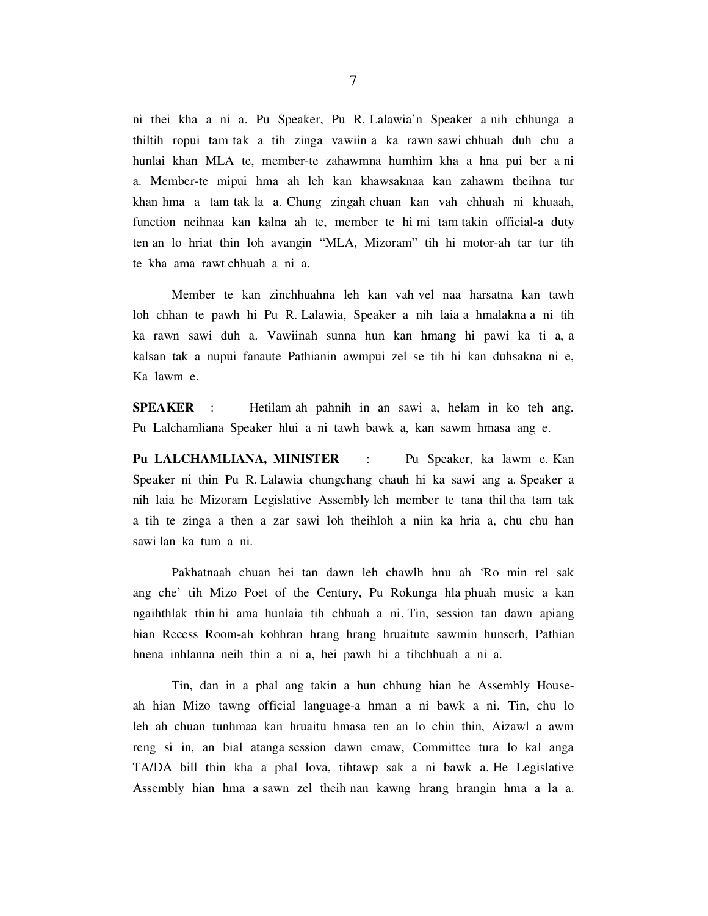ni thei kha a ni a. Pu Speaker, Pu R. Lalawia'n Speaker a nih chhunga a thiltih ropui tam tak a tih zinga vawiin a ka rawn sawi chhuah duh chu a hunlai khan MLA te, member-te zahawmna humhim kha a hna pui ber a ni a. Member-te mipui hma ah leh kan khawsaknaa kan zahawm theihna tur khan hma a tam tak la a. Chung zingah chuan kan vah chhuah ni khuaah, function neihnaa kan kalna ah te, member te hi mi tam takin official-a duty ten an lo hriat thin loh avangin "MLA, Mizoram" tih hi motor-ah tar tur tih te kha ama rawt chhuah a ni a.

 Member te kan zinchhuahna leh kan vah vel naa harsatna kan tawh loh chhan te pawh hi Pu R. Lalawia, Speaker a nih laia a hmalakna a ni tih ka rawn sawi duh a. Vawiinah sunna hun kan hmang hi pawi ka ti a, a kalsan tak a nupui fanaute Pathianin awmpui zel se tih hi kan duhsakna ni e, Ka lawm e.

SPEAKER : Hetilam ah pahnih in an sawi a, helam in ko teh ang. Pu Lalchamliana Speaker hlui a ni tawh bawk a, kan sawm hmasa ang e.

Pu LALCHAMLIANA, MINISTER : Pu Speaker, ka lawm e. Kan Speaker ni thin Pu R. Lalawia chungchang chauh hi ka sawi ang a. Speaker a nih laia he Mizoram Legislative Assembly leh member te tana thil tha tam tak a tih te zinga a then a zar sawi loh theihloh a niin ka hria a, chu chu han sawi lan ka tum a ni.

 Pakhatnaah chuan hei tan dawn leh chawlh hnu ah 'Ro min rel sak ang che' tih Mizo Poet of the Century, Pu Rokunga hla phuah music a kan ngaihthlak thin hi ama hunlaia tih chhuah a ni. Tin, session tan dawn apiang hian Recess Room-ah kohhran hrang hrang hruaitute sawmin hunserh, Pathian hnena inhlanna neih thin a ni a, hei pawh hi a tihchhuah a ni a.

 Tin, dan in a phal ang takin a hun chhung hian he Assembly Houseah hian Mizo tawng official language-a hman a ni bawk a ni. Tin, chu lo leh ah chuan tunhmaa kan hruaitu hmasa ten an lo chin thin, Aizawl a awm reng si in, an bial atanga session dawn emaw, Committee tura lo kal anga TA/DA bill thin kha a phal lova, tihtawp sak a ni bawk a. He Legislative Assembly hian hma a sawn zel theih nan kawng hrang hrangin hma a la a.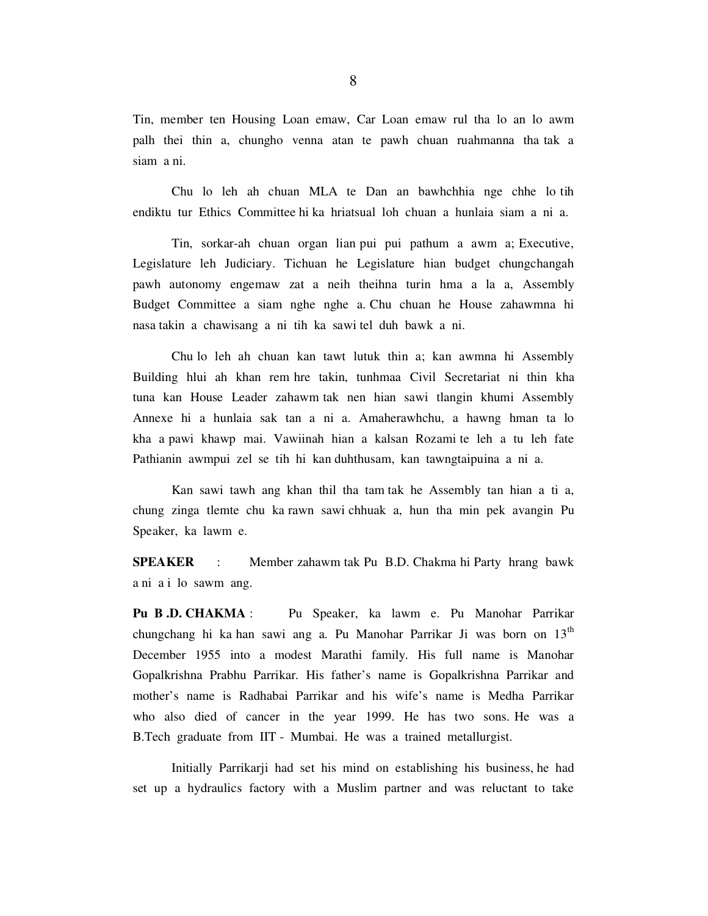Tin, member ten Housing Loan emaw, Car Loan emaw rul tha lo an lo awm palh thei thin a, chungho venna atan te pawh chuan ruahmanna tha tak a siam a ni.

 Chu lo leh ah chuan MLA te Dan an bawhchhia nge chhe lo tih endiktu tur Ethics Committee hi ka hriatsual loh chuan a hunlaia siam a ni a.

 Tin, sorkar-ah chuan organ lian pui pui pathum a awm a; Executive, Legislature leh Judiciary. Tichuan he Legislature hian budget chungchangah pawh autonomy engemaw zat a neih theihna turin hma a la a, Assembly Budget Committee a siam nghe nghe a. Chu chuan he House zahawmna hi nasa takin a chawisang a ni tih ka sawi tel duh bawk a ni.

 Chu lo leh ah chuan kan tawt lutuk thin a; kan awmna hi Assembly Building hlui ah khan rem hre takin, tunhmaa Civil Secretariat ni thin kha tuna kan House Leader zahawm tak nen hian sawi tlangin khumi Assembly Annexe hi a hunlaia sak tan a ni a. Amaherawhchu, a hawng hman ta lo kha a pawi khawp mai. Vawiinah hian a kalsan Rozami te leh a tu leh fate Pathianin awmpui zel se tih hi kan duhthusam, kan tawngtaipuina a ni a.

 Kan sawi tawh ang khan thil tha tam tak he Assembly tan hian a ti a, chung zinga tlemte chu ka rawn sawi chhuak a, hun tha min pek avangin Pu Speaker, ka lawm e.

SPEAKER : Member zahawm tak Pu B.D. Chakma hi Party hrang bawk a ni a i lo sawm ang.

Pu B.D. CHAKMA : Pu Speaker, ka lawm e. Pu Manohar Parrikar chungchang hi ka han sawi ang a. Pu Manohar Parrikar Ji was born on 13<sup>th</sup> December 1955 into a modest Marathi family. His full name is Manohar Gopalkrishna Prabhu Parrikar. His father's name is Gopalkrishna Parrikar and mother's name is Radhabai Parrikar and his wife's name is Medha Parrikar who also died of cancer in the year 1999. He has two sons. He was a B.Tech graduate from IIT - Mumbai. He was a trained metallurgist.

 Initially Parrikarji had set his mind on establishing his business, he had set up a hydraulics factory with a Muslim partner and was reluctant to take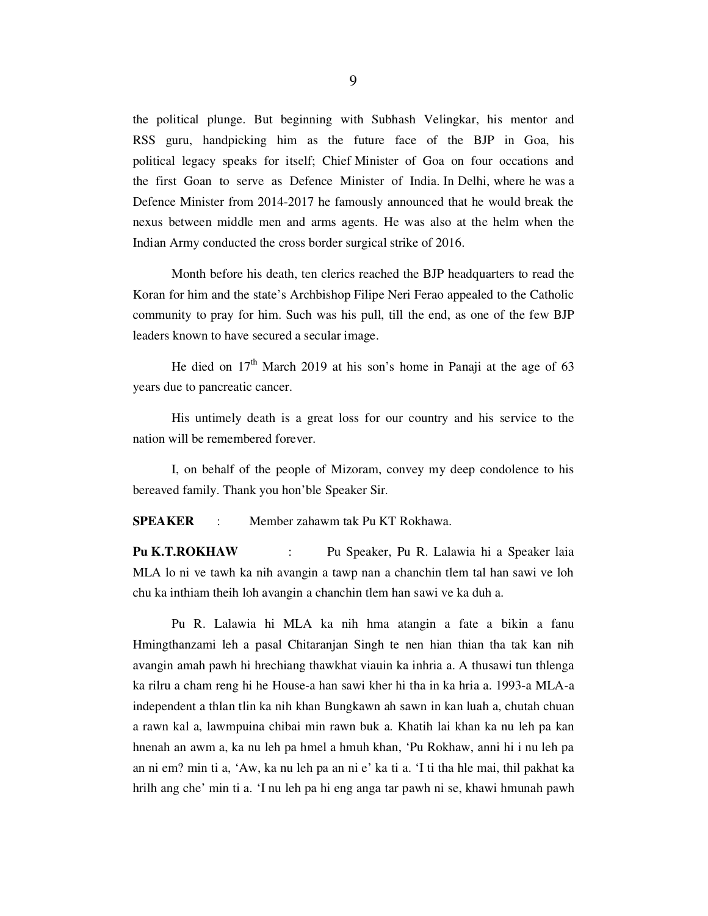the political plunge. But beginning with Subhash Velingkar, his mentor and RSS guru, handpicking him as the future face of the BJP in Goa, his political legacy speaks for itself; Chief Minister of Goa on four occations and the first Goan to serve as Defence Minister of India. In Delhi, where he was a Defence Minister from 2014-2017 he famously announced that he would break the nexus between middle men and arms agents. He was also at the helm when the Indian Army conducted the cross border surgical strike of 2016.

 Month before his death, ten clerics reached the BJP headquarters to read the Koran for him and the state's Archbishop Filipe Neri Ferao appealed to the Catholic community to pray for him. Such was his pull, till the end, as one of the few BJP leaders known to have secured a secular image.

He died on  $17<sup>th</sup>$  March 2019 at his son's home in Panaji at the age of 63 years due to pancreatic cancer.

 His untimely death is a great loss for our country and his service to the nation will be remembered forever.

 I, on behalf of the people of Mizoram, convey my deep condolence to his bereaved family. Thank you hon'ble Speaker Sir.

SPEAKER : Member zahawm tak Pu KT Rokhawa.

Pu K.T.ROKHAW : Pu Speaker, Pu R. Lalawia hi a Speaker laia MLA lo ni ve tawh ka nih avangin a tawp nan a chanchin tlem tal han sawi ve loh chu ka inthiam theih loh avangin a chanchin tlem han sawi ve ka duh a.

 Pu R. Lalawia hi MLA ka nih hma atangin a fate a bikin a fanu Hmingthanzami leh a pasal Chitaranjan Singh te nen hian thian tha tak kan nih avangin amah pawh hi hrechiang thawkhat viauin ka inhria a. A thusawi tun thlenga ka rilru a cham reng hi he House-a han sawi kher hi tha in ka hria a. 1993-a MLA-a independent a thlan tlin ka nih khan Bungkawn ah sawn in kan luah a, chutah chuan a rawn kal a, lawmpuina chibai min rawn buk a. Khatih lai khan ka nu leh pa kan hnenah an awm a, ka nu leh pa hmel a hmuh khan, 'Pu Rokhaw, anni hi i nu leh pa an ni em? min ti a, 'Aw, ka nu leh pa an ni e' ka ti a. 'I ti tha hle mai, thil pakhat ka hrilh ang che' min ti a. 'I nu leh pa hi eng anga tar pawh ni se, khawi hmunah pawh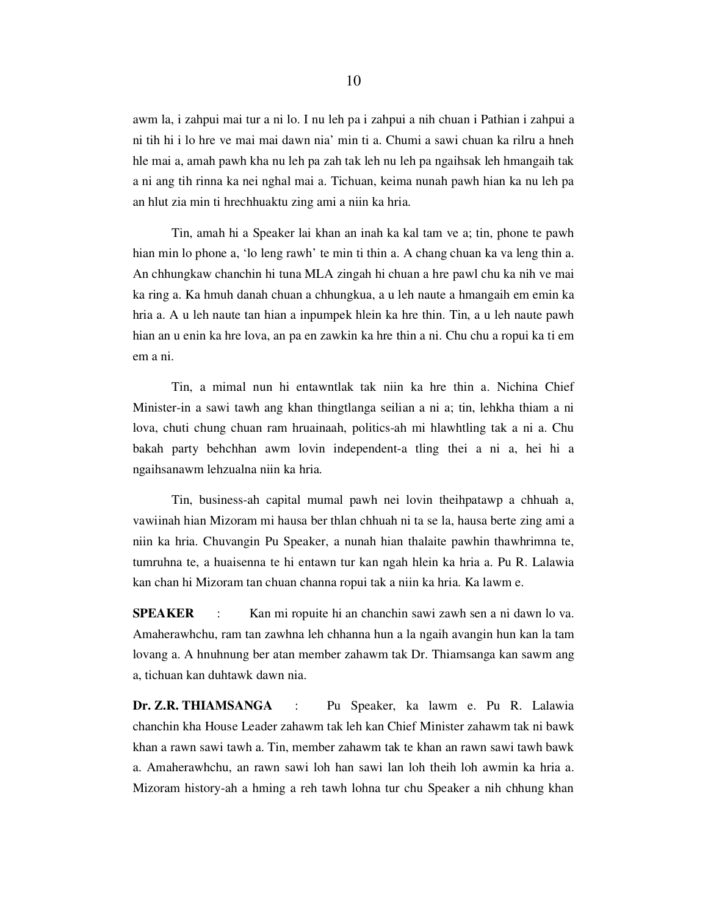awm la, i zahpui mai tur a ni lo. I nu leh pa i zahpui a nih chuan i Pathian i zahpui a ni tih hi i lo hre ve mai mai dawn nia' min ti a. Chumi a sawi chuan ka rilru a hneh hle mai a, amah pawh kha nu leh pa zah tak leh nu leh pa ngaihsak leh hmangaih tak a ni ang tih rinna ka nei nghal mai a. Tichuan, keima nunah pawh hian ka nu leh pa an hlut zia min ti hrechhuaktu zing ami a niin ka hria.

 Tin, amah hi a Speaker lai khan an inah ka kal tam ve a; tin, phone te pawh hian min lo phone a, 'lo leng rawh' te min ti thin a. A chang chuan ka va leng thin a. An chhungkaw chanchin hi tuna MLA zingah hi chuan a hre pawl chu ka nih ve mai ka ring a. Ka hmuh danah chuan a chhungkua, a u leh naute a hmangaih em emin ka hria a. A u leh naute tan hian a inpumpek hlein ka hre thin. Tin, a u leh naute pawh hian an u enin ka hre lova, an pa en zawkin ka hre thin a ni. Chu chu a ropui ka ti em em a ni.

 Tin, a mimal nun hi entawntlak tak niin ka hre thin a. Nichina Chief Minister-in a sawi tawh ang khan thingtlanga seilian a ni a; tin, lehkha thiam a ni lova, chuti chung chuan ram hruainaah, politics-ah mi hlawhtling tak a ni a. Chu bakah party behchhan awm lovin independent-a tling thei a ni a, hei hi a ngaihsanawm lehzualna niin ka hria.

 Tin, business-ah capital mumal pawh nei lovin theihpatawp a chhuah a, vawiinah hian Mizoram mi hausa ber thlan chhuah ni ta se la, hausa berte zing ami a niin ka hria. Chuvangin Pu Speaker, a nunah hian thalaite pawhin thawhrimna te, tumruhna te, a huaisenna te hi entawn tur kan ngah hlein ka hria a. Pu R. Lalawia kan chan hi Mizoram tan chuan channa ropui tak a niin ka hria. Ka lawm e.

SPEAKER : Kan mi ropuite hi an chanchin sawi zawh sen a ni dawn lo va. Amaherawhchu, ram tan zawhna leh chhanna hun a la ngaih avangin hun kan la tam lovang a. A hnuhnung ber atan member zahawm tak Dr. Thiamsanga kan sawm ang a, tichuan kan duhtawk dawn nia.

Dr. Z.R. THIAMSANGA : Pu Speaker, ka lawm e. Pu R. Lalawia chanchin kha House Leader zahawm tak leh kan Chief Minister zahawm tak ni bawk khan a rawn sawi tawh a. Tin, member zahawm tak te khan an rawn sawi tawh bawk a. Amaherawhchu, an rawn sawi loh han sawi lan loh theih loh awmin ka hria a. Mizoram history-ah a hming a reh tawh lohna tur chu Speaker a nih chhung khan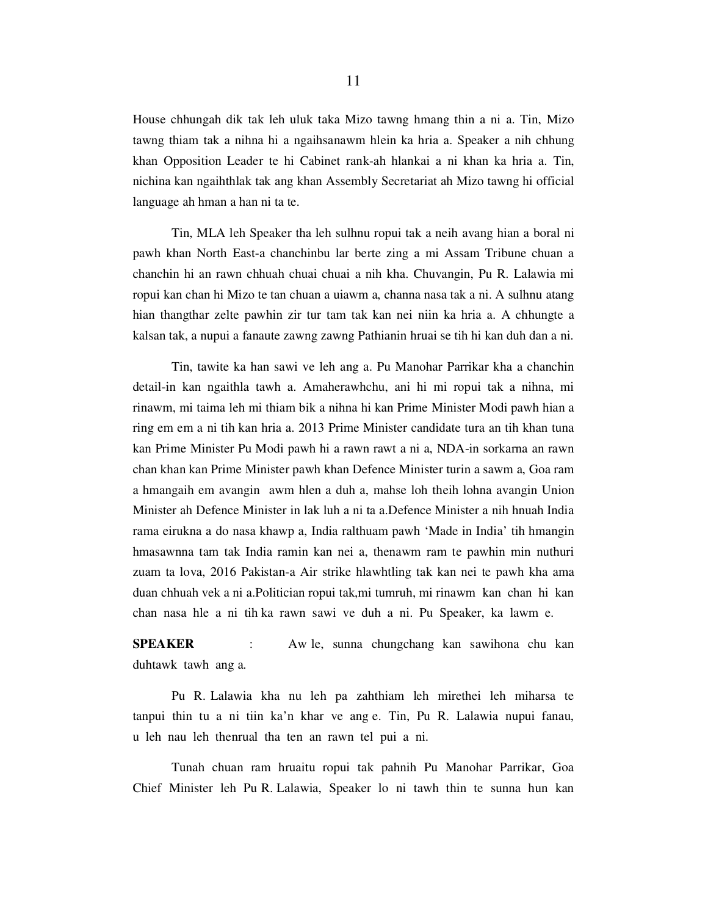House chhungah dik tak leh uluk taka Mizo tawng hmang thin a ni a. Tin, Mizo tawng thiam tak a nihna hi a ngaihsanawm hlein ka hria a. Speaker a nih chhung khan Opposition Leader te hi Cabinet rank-ah hlankai a ni khan ka hria a. Tin, nichina kan ngaihthlak tak ang khan Assembly Secretariat ah Mizo tawng hi official language ah hman a han ni ta te.

 Tin, MLA leh Speaker tha leh sulhnu ropui tak a neih avang hian a boral ni pawh khan North East-a chanchinbu lar berte zing a mi Assam Tribune chuan a chanchin hi an rawn chhuah chuai chuai a nih kha. Chuvangin, Pu R. Lalawia mi ropui kan chan hi Mizo te tan chuan a uiawm a, channa nasa tak a ni. A sulhnu atang hian thangthar zelte pawhin zir tur tam tak kan nei niin ka hria a. A chhungte a kalsan tak, a nupui a fanaute zawng zawng Pathianin hruai se tih hi kan duh dan a ni.

 Tin, tawite ka han sawi ve leh ang a. Pu Manohar Parrikar kha a chanchin detail-in kan ngaithla tawh a. Amaherawhchu, ani hi mi ropui tak a nihna, mi rinawm, mi taima leh mi thiam bik a nihna hi kan Prime Minister Modi pawh hian a ring em em a ni tih kan hria a. 2013 Prime Minister candidate tura an tih khan tuna kan Prime Minister Pu Modi pawh hi a rawn rawt a ni a, NDA-in sorkarna an rawn chan khan kan Prime Minister pawh khan Defence Minister turin a sawm a, Goa ram a hmangaih em avangin awm hlen a duh a, mahse loh theih lohna avangin Union Minister ah Defence Minister in lak luh a ni ta a.Defence Minister a nih hnuah India rama eirukna a do nasa khawp a, India ralthuam pawh 'Made in India' tih hmangin hmasawnna tam tak India ramin kan nei a, thenawm ram te pawhin min nuthuri zuam ta lova, 2016 Pakistan-a Air strike hlawhtling tak kan nei te pawh kha ama duan chhuah vek a ni a.Politician ropui tak,mi tumruh, mi rinawm kan chan hi kan chan nasa hle a ni tih ka rawn sawi ve duh a ni. Pu Speaker, ka lawm e.

SPEAKER : Aw le, sunna chungchang kan sawihona chu kan duhtawk tawh ang a.

 Pu R. Lalawia kha nu leh pa zahthiam leh mirethei leh miharsa te tanpui thin tu a ni tiin ka'n khar ve ang e. Tin, Pu R. Lalawia nupui fanau, u leh nau leh thenrual tha ten an rawn tel pui a ni.

 Tunah chuan ram hruaitu ropui tak pahnih Pu Manohar Parrikar, Goa Chief Minister leh Pu R. Lalawia, Speaker lo ni tawh thin te sunna hun kan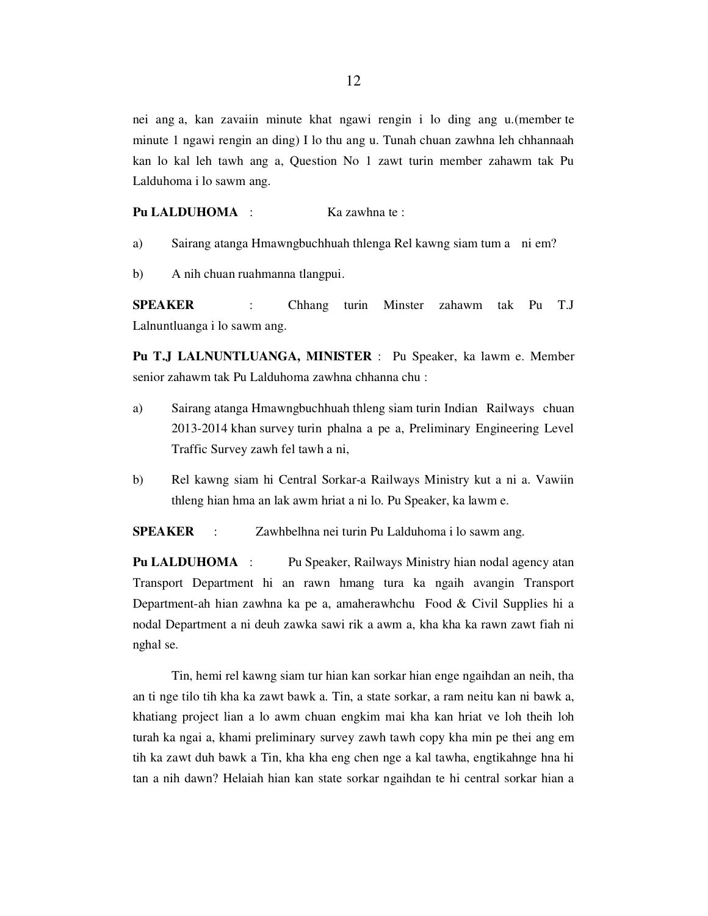nei ang a, kan zavaiin minute khat ngawi rengin i lo ding ang u.(member te minute 1 ngawi rengin an ding) I lo thu ang u. Tunah chuan zawhna leh chhannaah kan lo kal leh tawh ang a, Question No 1 zawt turin member zahawm tak Pu Lalduhoma i lo sawm ang.

Pu LALDUHOMA : Ka zawhna te :

- a) Sairang atanga Hmawngbuchhuah thlenga Rel kawng siam tum a ni em?
- b) A nih chuan ruahmanna tlangpui.

SPEAKER : Chhang turin Minster zahawm tak Pu T.J Lalnuntluanga i lo sawm ang.

Pu T.J LALNUNTLUANGA, MINISTER : Pu Speaker, ka lawm e. Member senior zahawm tak Pu Lalduhoma zawhna chhanna chu :

- a) Sairang atanga Hmawngbuchhuah thleng siam turin Indian Railways chuan 2013-2014 khan survey turin phalna a pe a, Preliminary Engineering Level Traffic Survey zawh fel tawh a ni,
- b) Rel kawng siam hi Central Sorkar-a Railways Ministry kut a ni a. Vawiin thleng hian hma an lak awm hriat a ni lo. Pu Speaker, ka lawm e.

SPEAKER : Zawhbelhna nei turin Pu Lalduhoma i lo sawm ang.

Pu LALDUHOMA : Pu Speaker, Railways Ministry hian nodal agency atan Transport Department hi an rawn hmang tura ka ngaih avangin Transport Department-ah hian zawhna ka pe a, amaherawhchu Food & Civil Supplies hi a nodal Department a ni deuh zawka sawi rik a awm a, kha kha ka rawn zawt fiah ni nghal se.

 Tin, hemi rel kawng siam tur hian kan sorkar hian enge ngaihdan an neih, tha an ti nge tilo tih kha ka zawt bawk a. Tin, a state sorkar, a ram neitu kan ni bawk a, khatiang project lian a lo awm chuan engkim mai kha kan hriat ve loh theih loh turah ka ngai a, khami preliminary survey zawh tawh copy kha min pe thei ang em tih ka zawt duh bawk a Tin, kha kha eng chen nge a kal tawha, engtikahnge hna hi tan a nih dawn? Helaiah hian kan state sorkar ngaihdan te hi central sorkar hian a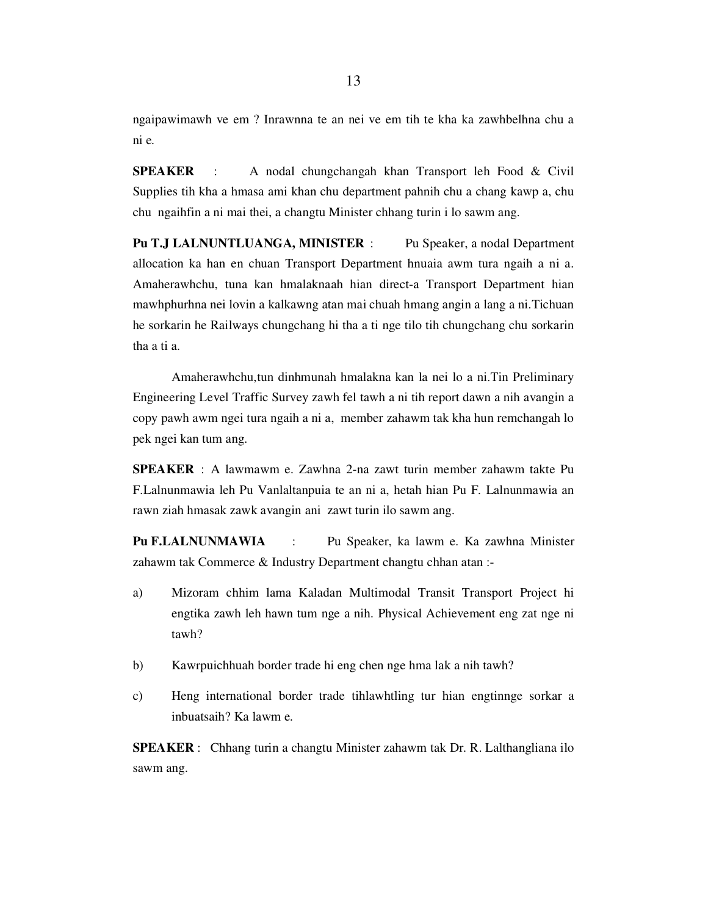ngaipawimawh ve em ? Inrawnna te an nei ve em tih te kha ka zawhbelhna chu a ni e.

SPEAKER : A nodal chungchangah khan Transport leh Food & Civil Supplies tih kha a hmasa ami khan chu department pahnih chu a chang kawp a, chu chu ngaihfin a ni mai thei, a changtu Minister chhang turin i lo sawm ang.

Pu T.J LALNUNTLUANGA, MINISTER : Pu Speaker, a nodal Department allocation ka han en chuan Transport Department hnuaia awm tura ngaih a ni a. Amaherawhchu, tuna kan hmalaknaah hian direct-a Transport Department hian mawhphurhna nei lovin a kalkawng atan mai chuah hmang angin a lang a ni.Tichuan he sorkarin he Railways chungchang hi tha a ti nge tilo tih chungchang chu sorkarin tha a ti a.

 Amaherawhchu,tun dinhmunah hmalakna kan la nei lo a ni.Tin Preliminary Engineering Level Traffic Survey zawh fel tawh a ni tih report dawn a nih avangin a copy pawh awm ngei tura ngaih a ni a, member zahawm tak kha hun remchangah lo pek ngei kan tum ang.

SPEAKER : A lawmawm e. Zawhna 2-na zawt turin member zahawm takte Pu F.Lalnunmawia leh Pu Vanlaltanpuia te an ni a, hetah hian Pu F. Lalnunmawia an rawn ziah hmasak zawk avangin ani zawt turin ilo sawm ang.

Pu F.LALNUNMAWIA : Pu Speaker, ka lawm e. Ka zawhna Minister zahawm tak Commerce & Industry Department changtu chhan atan :-

- a) Mizoram chhim lama Kaladan Multimodal Transit Transport Project hi engtika zawh leh hawn tum nge a nih. Physical Achievement eng zat nge ni tawh?
- b) Kawrpuichhuah border trade hi eng chen nge hma lak a nih tawh?
- c) Heng international border trade tihlawhtling tur hian engtinnge sorkar a inbuatsaih? Ka lawm e.

SPEAKER : Chhang turin a changtu Minister zahawm tak Dr. R. Lalthangliana ilo sawm ang.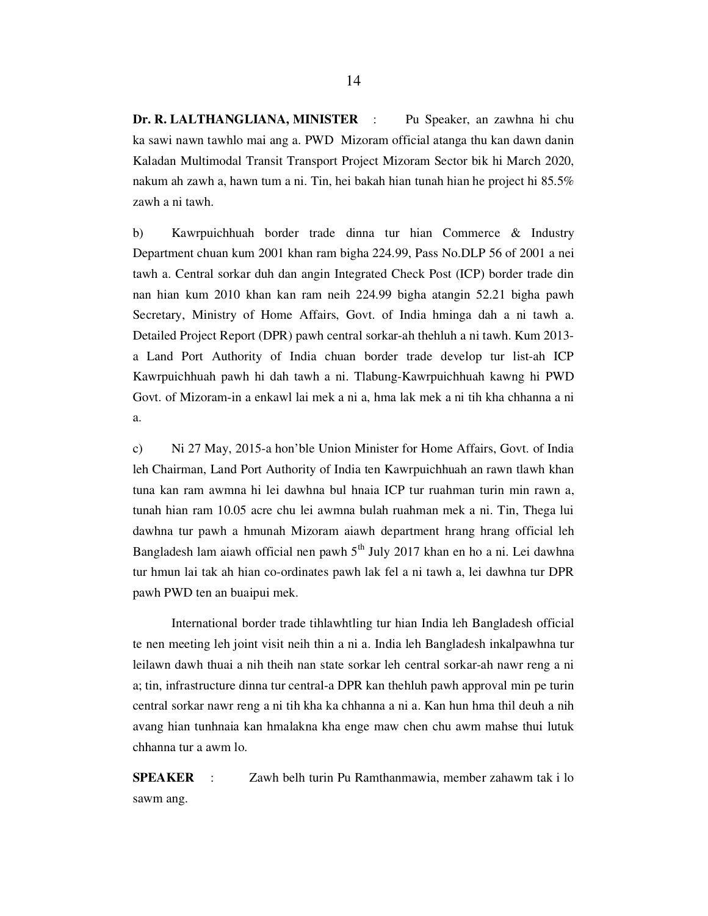Dr. R. LALTHANGLIANA, MINISTER : Pu Speaker, an zawhna hi chu ka sawi nawn tawhlo mai ang a. PWD Mizoram official atanga thu kan dawn danin Kaladan Multimodal Transit Transport Project Mizoram Sector bik hi March 2020, nakum ah zawh a, hawn tum a ni. Tin, hei bakah hian tunah hian he project hi 85.5% zawh a ni tawh.

b) Kawrpuichhuah border trade dinna tur hian Commerce & Industry Department chuan kum 2001 khan ram bigha 224.99, Pass No.DLP 56 of 2001 a nei tawh a. Central sorkar duh dan angin Integrated Check Post (ICP) border trade din nan hian kum 2010 khan kan ram neih 224.99 bigha atangin 52.21 bigha pawh Secretary, Ministry of Home Affairs, Govt. of India hminga dah a ni tawh a. Detailed Project Report (DPR) pawh central sorkar-ah thehluh a ni tawh. Kum 2013 a Land Port Authority of India chuan border trade develop tur list-ah ICP Kawrpuichhuah pawh hi dah tawh a ni. Tlabung-Kawrpuichhuah kawng hi PWD Govt. of Mizoram-in a enkawl lai mek a ni a, hma lak mek a ni tih kha chhanna a ni a.

c) Ni 27 May, 2015-a hon'ble Union Minister for Home Affairs, Govt. of India leh Chairman, Land Port Authority of India ten Kawrpuichhuah an rawn tlawh khan tuna kan ram awmna hi lei dawhna bul hnaia ICP tur ruahman turin min rawn a, tunah hian ram 10.05 acre chu lei awmna bulah ruahman mek a ni. Tin, Thega lui dawhna tur pawh a hmunah Mizoram aiawh department hrang hrang official leh Bangladesh lam aiawh official nen pawh  $5<sup>th</sup>$  July 2017 khan en ho a ni. Lei dawhna tur hmun lai tak ah hian co-ordinates pawh lak fel a ni tawh a, lei dawhna tur DPR pawh PWD ten an buaipui mek.

 International border trade tihlawhtling tur hian India leh Bangladesh official te nen meeting leh joint visit neih thin a ni a. India leh Bangladesh inkalpawhna tur leilawn dawh thuai a nih theih nan state sorkar leh central sorkar-ah nawr reng a ni a; tin, infrastructure dinna tur central-a DPR kan thehluh pawh approval min pe turin central sorkar nawr reng a ni tih kha ka chhanna a ni a. Kan hun hma thil deuh a nih avang hian tunhnaia kan hmalakna kha enge maw chen chu awm mahse thui lutuk chhanna tur a awm lo.

SPEAKER : Zawh belh turin Pu Ramthanmawia, member zahawm tak i lo sawm ang.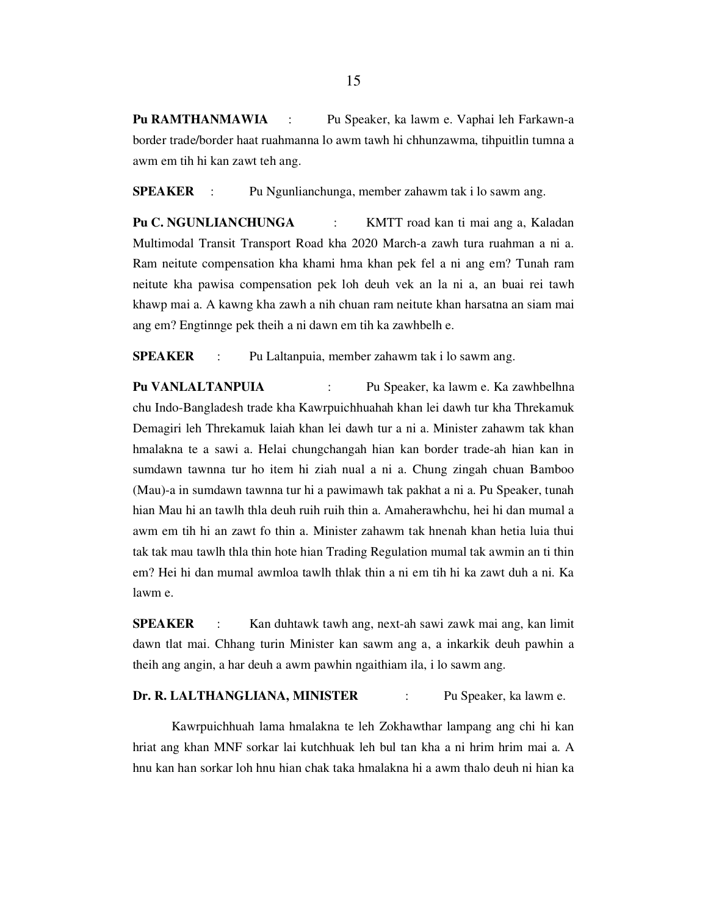Pu RAMTHANMAWIA : Pu Speaker, ka lawm e. Vaphai leh Farkawn-a border trade/border haat ruahmanna lo awm tawh hi chhunzawma, tihpuitlin tumna a awm em tih hi kan zawt teh ang.

SPEAKER : Pu Ngunlianchunga, member zahawm tak i lo sawm ang.

Pu C. NGUNLIANCHUNGA : KMTT road kan ti mai ang a, Kaladan Multimodal Transit Transport Road kha 2020 March-a zawh tura ruahman a ni a. Ram neitute compensation kha khami hma khan pek fel a ni ang em? Tunah ram neitute kha pawisa compensation pek loh deuh vek an la ni a, an buai rei tawh khawp mai a. A kawng kha zawh a nih chuan ram neitute khan harsatna an siam mai ang em? Engtinnge pek theih a ni dawn em tih ka zawhbelh e.

SPEAKER : Pu Laltanpuia, member zahawm tak i lo sawm ang.

Pu VANLALTANPUIA : Pu Speaker, ka lawm e. Ka zawhbelhna chu Indo-Bangladesh trade kha Kawrpuichhuahah khan lei dawh tur kha Threkamuk Demagiri leh Threkamuk laiah khan lei dawh tur a ni a. Minister zahawm tak khan hmalakna te a sawi a. Helai chungchangah hian kan border trade-ah hian kan in sumdawn tawnna tur ho item hi ziah nual a ni a. Chung zingah chuan Bamboo (Mau)-a in sumdawn tawnna tur hi a pawimawh tak pakhat a ni a. Pu Speaker, tunah hian Mau hi an tawlh thla deuh ruih ruih thin a. Amaherawhchu, hei hi dan mumal a awm em tih hi an zawt fo thin a. Minister zahawm tak hnenah khan hetia luia thui tak tak mau tawlh thla thin hote hian Trading Regulation mumal tak awmin an ti thin em? Hei hi dan mumal awmloa tawlh thlak thin a ni em tih hi ka zawt duh a ni. Ka lawm e.

SPEAKER : Kan duhtawk tawh ang, next-ah sawi zawk mai ang, kan limit dawn tlat mai. Chhang turin Minister kan sawm ang a, a inkarkik deuh pawhin a theih ang angin, a har deuh a awm pawhin ngaithiam ila, i lo sawm ang.

#### Dr. R. LALTHANGLIANA, MINISTER : Pu Speaker, ka lawm e.

 Kawrpuichhuah lama hmalakna te leh Zokhawthar lampang ang chi hi kan hriat ang khan MNF sorkar lai kutchhuak leh bul tan kha a ni hrim hrim mai a. A hnu kan han sorkar loh hnu hian chak taka hmalakna hi a awm thalo deuh ni hian ka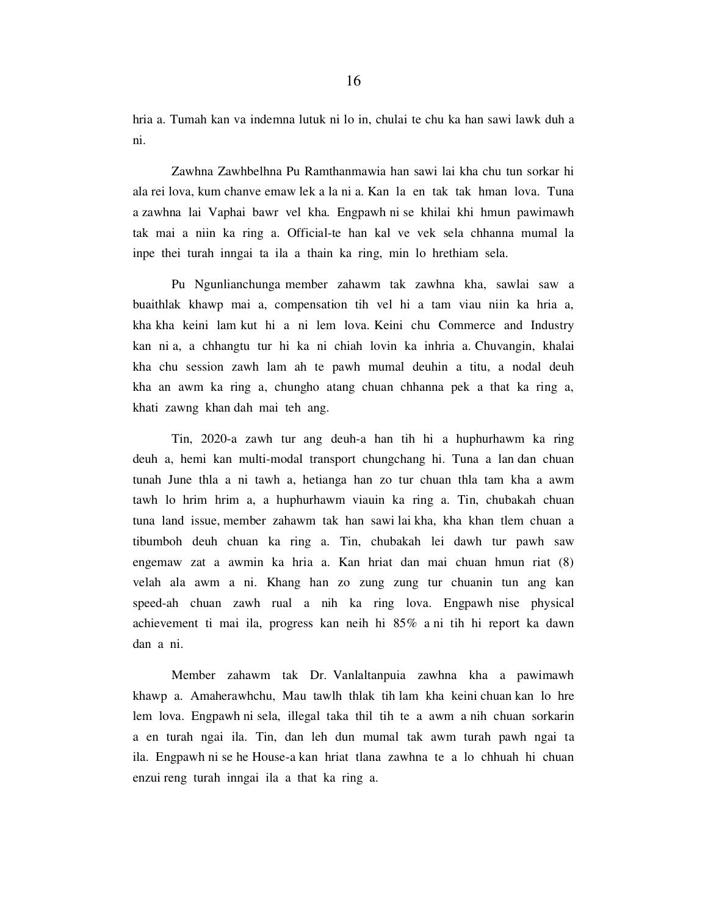hria a. Tumah kan va indemna lutuk ni lo in, chulai te chu ka han sawi lawk duh a ni.

 Zawhna Zawhbelhna Pu Ramthanmawia han sawi lai kha chu tun sorkar hi ala rei lova, kum chanve emaw lek a la ni a. Kan la en tak tak hman lova. Tuna a zawhna lai Vaphai bawr vel kha. Engpawh ni se khilai khi hmun pawimawh tak mai a niin ka ring a. Official-te han kal ve vek sela chhanna mumal la inpe thei turah inngai ta ila a thain ka ring, min lo hrethiam sela.

 Pu Ngunlianchunga member zahawm tak zawhna kha, sawlai saw a buaithlak khawp mai a, compensation tih vel hi a tam viau niin ka hria a, kha kha keini lam kut hi a ni lem lova. Keini chu Commerce and Industry kan ni a, a chhangtu tur hi ka ni chiah lovin ka inhria a. Chuvangin, khalai kha chu session zawh lam ah te pawh mumal deuhin a titu, a nodal deuh kha an awm ka ring a, chungho atang chuan chhanna pek a that ka ring a, khati zawng khan dah mai teh ang.

 Tin, 2020-a zawh tur ang deuh-a han tih hi a huphurhawm ka ring deuh a, hemi kan multi-modal transport chungchang hi. Tuna a lan dan chuan tunah June thla a ni tawh a, hetianga han zo tur chuan thla tam kha a awm tawh lo hrim hrim a, a huphurhawm viauin ka ring a. Tin, chubakah chuan tuna land issue, member zahawm tak han sawi lai kha, kha khan tlem chuan a tibumboh deuh chuan ka ring a. Tin, chubakah lei dawh tur pawh saw engemaw zat a awmin ka hria a. Kan hriat dan mai chuan hmun riat (8) velah ala awm a ni. Khang han zo zung zung tur chuanin tun ang kan speed-ah chuan zawh rual a nih ka ring lova. Engpawh nise physical achievement ti mai ila, progress kan neih hi 85% a ni tih hi report ka dawn dan a ni.

 Member zahawm tak Dr. Vanlaltanpuia zawhna kha a pawimawh khawp a. Amaherawhchu, Mau tawlh thlak tih lam kha keini chuan kan lo hre lem lova. Engpawh ni sela, illegal taka thil tih te a awm a nih chuan sorkarin a en turah ngai ila. Tin, dan leh dun mumal tak awm turah pawh ngai ta ila. Engpawh ni se he House-a kan hriat tlana zawhna te a lo chhuah hi chuan enzui reng turah inngai ila a that ka ring a.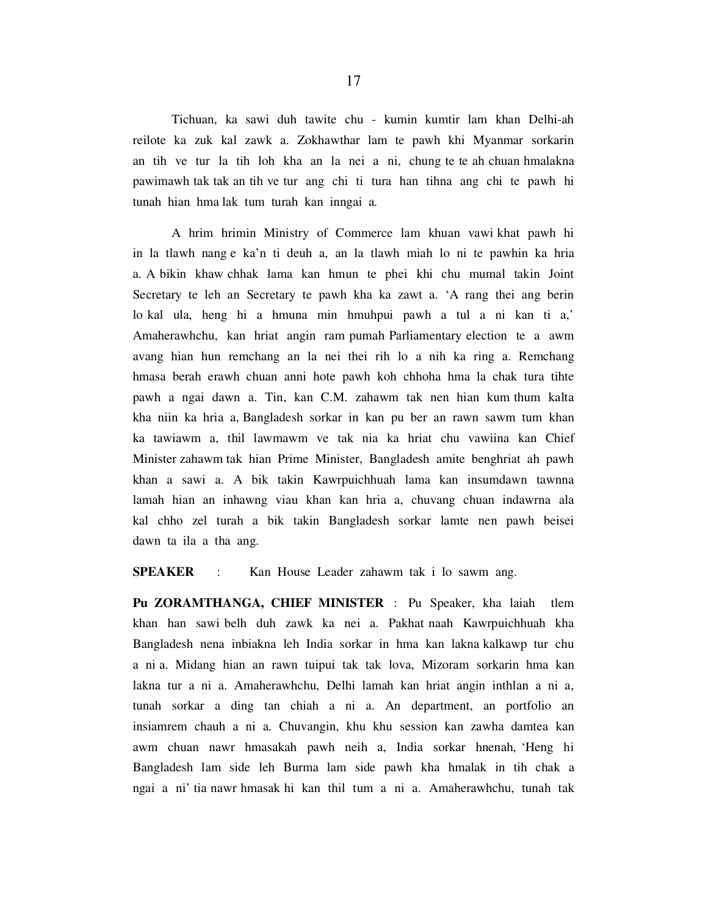Tichuan, ka sawi duh tawite chu - kumin kumtir lam khan Delhi-ah reilote ka zuk kal zawk a. Zokhawthar lam te pawh khi Myanmar sorkarin an tih ve tur la tih loh kha an la nei a ni, chung te te ah chuan hmalakna pawimawh tak tak an tih ve tur ang chi ti tura han tihna ang chi te pawh hi tunah hian hma lak tum turah kan inngai a.

 A hrim hrimin Ministry of Commerce lam khuan vawi khat pawh hi in la tlawh nang e ka'n ti deuh a, an la tlawh miah lo ni te pawhin ka hria a. A bikin khaw chhak lama kan hmun te phei khi chu mumal takin Joint Secretary te leh an Secretary te pawh kha ka zawt a. 'A rang thei ang berin lo kal ula, heng hi a hmuna min hmuhpui pawh a tul a ni kan ti a,' Amaherawhchu, kan hriat angin ram pumah Parliamentary election te a awm avang hian hun remchang an la nei thei rih lo a nih ka ring a. Remchang hmasa berah erawh chuan anni hote pawh koh chhoha hma la chak tura tihte pawh a ngai dawn a. Tin, kan C.M. zahawm tak nen hian kum thum kalta kha niin ka hria a, Bangladesh sorkar in kan pu ber an rawn sawm tum khan ka tawiawm a, thil lawmawm ve tak nia ka hriat chu vawiina kan Chief Minister zahawm tak hian Prime Minister, Bangladesh amite benghriat ah pawh khan a sawi a. A bik takin Kawrpuichhuah lama kan insumdawn tawnna lamah hian an inhawng viau khan kan hria a, chuvang chuan indawrna ala kal chho zel turah a bik takin Bangladesh sorkar lamte nen pawh beisei dawn ta ila a tha ang.

SPEAKER : Kan House Leader zahawm tak i lo sawm ang.

Pu ZORAMTHANGA, CHIEF MINISTER : Pu Speaker, kha laiah tlem khan han sawi belh duh zawk ka nei a. Pakhat naah Kawrpuichhuah kha Bangladesh nena inbiakna leh India sorkar in hma kan lakna kalkawp tur chu a ni a. Midang hian an rawn tuipui tak tak lova, Mizoram sorkarin hma kan lakna tur a ni a. Amaherawhchu, Delhi lamah kan hriat angin inthlan a ni a, tunah sorkar a ding tan chiah a ni a. An department, an portfolio an insiamrem chauh a ni a. Chuvangin, khu khu session kan zawha damtea kan awm chuan nawr hmasakah pawh neih a, India sorkar hnenah, 'Heng hi Bangladesh lam side leh Burma lam side pawh kha hmalak in tih chak a ngai a ni' tia nawr hmasak hi kan thil tum a ni a. Amaherawhchu, tunah tak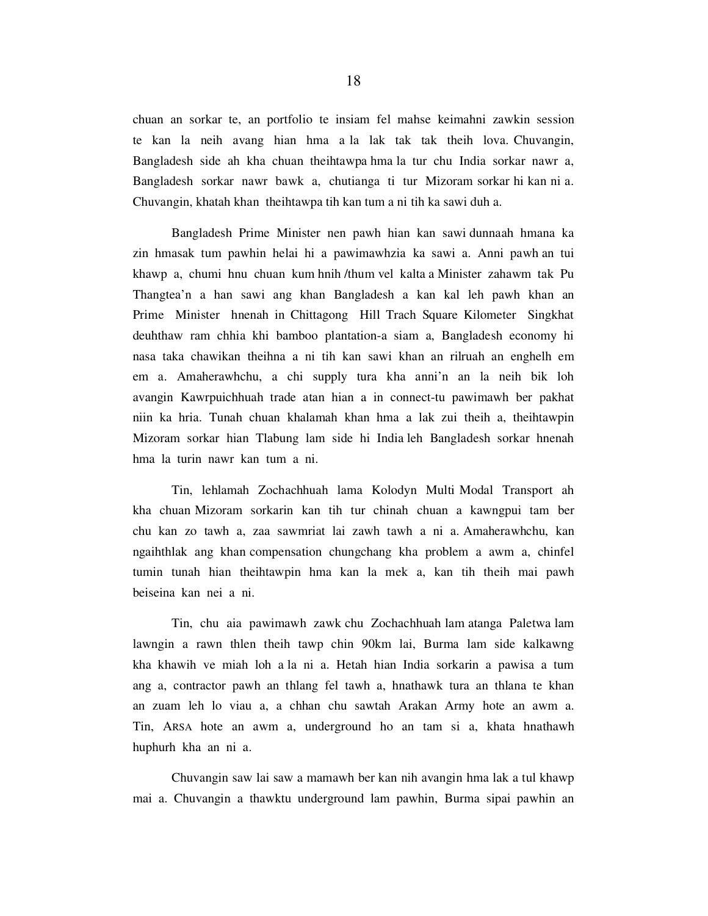chuan an sorkar te, an portfolio te insiam fel mahse keimahni zawkin session te kan la neih avang hian hma a la lak tak tak theih lova. Chuvangin, Bangladesh side ah kha chuan theihtawpa hma la tur chu India sorkar nawr a, Bangladesh sorkar nawr bawk a, chutianga ti tur Mizoram sorkar hi kan ni a. Chuvangin, khatah khan theihtawpa tih kan tum a ni tih ka sawi duh a.

 Bangladesh Prime Minister nen pawh hian kan sawi dunnaah hmana ka zin hmasak tum pawhin helai hi a pawimawhzia ka sawi a. Anni pawh an tui khawp a, chumi hnu chuan kum hnih /thum vel kalta a Minister zahawm tak Pu Thangtea'n a han sawi ang khan Bangladesh a kan kal leh pawh khan an Prime Minister hnenah in Chittagong Hill Trach Square Kilometer Singkhat deuhthaw ram chhia khi bamboo plantation-a siam a, Bangladesh economy hi nasa taka chawikan theihna a ni tih kan sawi khan an rilruah an enghelh em em a. Amaherawhchu, a chi supply tura kha anni'n an la neih bik loh avangin Kawrpuichhuah trade atan hian a in connect-tu pawimawh ber pakhat niin ka hria. Tunah chuan khalamah khan hma a lak zui theih a, theihtawpin Mizoram sorkar hian Tlabung lam side hi India leh Bangladesh sorkar hnenah hma la turin nawr kan tum a ni.

 Tin, lehlamah Zochachhuah lama Kolodyn Multi Modal Transport ah kha chuan Mizoram sorkarin kan tih tur chinah chuan a kawngpui tam ber chu kan zo tawh a, zaa sawmriat lai zawh tawh a ni a. Amaherawhchu, kan ngaihthlak ang khan compensation chungchang kha problem a awm a, chinfel tumin tunah hian theihtawpin hma kan la mek a, kan tih theih mai pawh beiseina kan nei a ni.

 Tin, chu aia pawimawh zawk chu Zochachhuah lam atanga Paletwa lam lawngin a rawn thlen theih tawp chin 90km lai, Burma lam side kalkawng kha khawih ve miah loh a la ni a. Hetah hian India sorkarin a pawisa a tum ang a, contractor pawh an thlang fel tawh a, hnathawk tura an thlana te khan an zuam leh lo viau a, a chhan chu sawtah Arakan Army hote an awm a. Tin, ARSA hote an awm a, underground ho an tam si a, khata hnathawh huphurh kha an ni a.

 Chuvangin saw lai saw a mamawh ber kan nih avangin hma lak a tul khawp mai a. Chuvangin a thawktu underground lam pawhin, Burma sipai pawhin an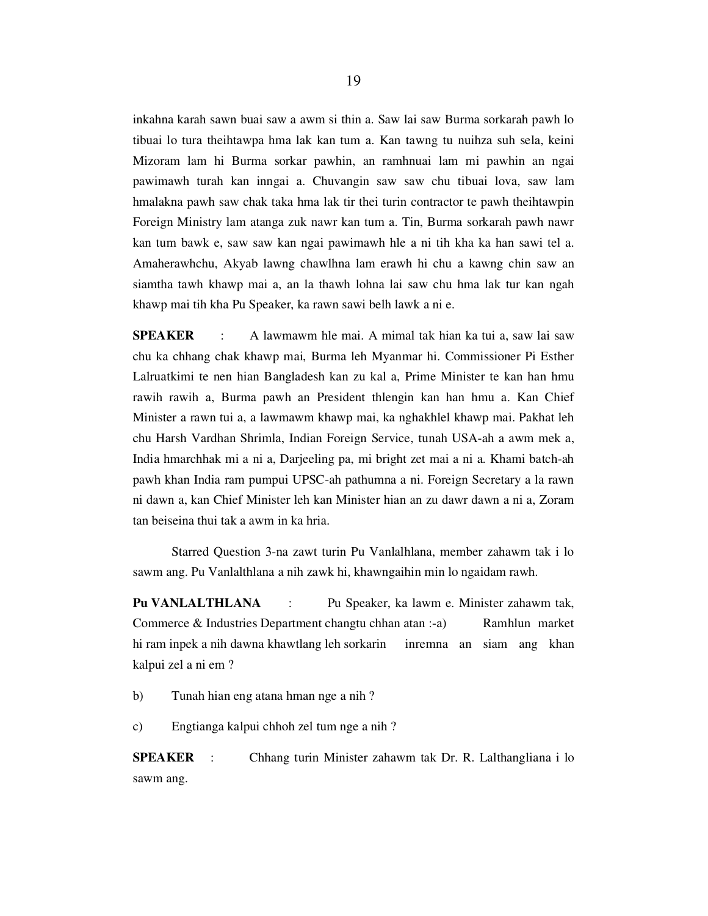inkahna karah sawn buai saw a awm si thin a. Saw lai saw Burma sorkarah pawh lo tibuai lo tura theihtawpa hma lak kan tum a. Kan tawng tu nuihza suh sela, keini Mizoram lam hi Burma sorkar pawhin, an ramhnuai lam mi pawhin an ngai pawimawh turah kan inngai a. Chuvangin saw saw chu tibuai lova, saw lam hmalakna pawh saw chak taka hma lak tir thei turin contractor te pawh theihtawpin Foreign Ministry lam atanga zuk nawr kan tum a. Tin, Burma sorkarah pawh nawr kan tum bawk e, saw saw kan ngai pawimawh hle a ni tih kha ka han sawi tel a. Amaherawhchu, Akyab lawng chawlhna lam erawh hi chu a kawng chin saw an siamtha tawh khawp mai a, an la thawh lohna lai saw chu hma lak tur kan ngah khawp mai tih kha Pu Speaker, ka rawn sawi belh lawk a ni e.

SPEAKER : A lawmawm hle mai. A mimal tak hian ka tui a, saw lai saw chu ka chhang chak khawp mai, Burma leh Myanmar hi. Commissioner Pi Esther Lalruatkimi te nen hian Bangladesh kan zu kal a, Prime Minister te kan han hmu rawih rawih a, Burma pawh an President thlengin kan han hmu a. Kan Chief Minister a rawn tui a, a lawmawm khawp mai, ka nghakhlel khawp mai. Pakhat leh chu Harsh Vardhan Shrimla, Indian Foreign Service, tunah USA-ah a awm mek a, India hmarchhak mi a ni a, Darjeeling pa, mi bright zet mai a ni a. Khami batch-ah pawh khan India ram pumpui UPSC-ah pathumna a ni. Foreign Secretary a la rawn ni dawn a, kan Chief Minister leh kan Minister hian an zu dawr dawn a ni a, Zoram tan beiseina thui tak a awm in ka hria.

 Starred Question 3-na zawt turin Pu Vanlalhlana, member zahawm tak i lo sawm ang. Pu Vanlalthlana a nih zawk hi, khawngaihin min lo ngaidam rawh.

Pu VANLALTHLANA : Pu Speaker, ka lawm e. Minister zahawm tak, Commerce & Industries Department changtu chhan atan :-a) Ramhlun market hi ram inpek a nih dawna khawtlang leh sorkarin inremna an siam ang khan kalpui zel a ni em ?

b) Tunah hian eng atana hman nge a nih ?

c) Engtianga kalpui chhoh zel tum nge a nih ?

SPEAKER : Chhang turin Minister zahawm tak Dr. R. Lalthangliana i lo sawm ang.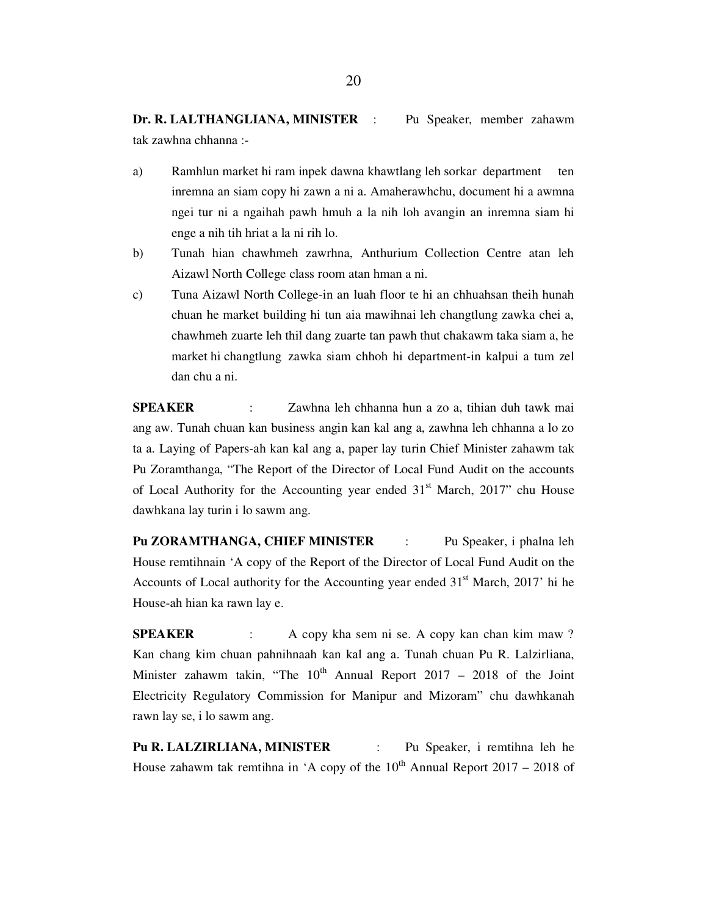Dr. R. LALTHANGLIANA, MINISTER : Pu Speaker, member zahawm tak zawhna chhanna :-

- a) Ramhlun market hi ram inpek dawna khawtlang leh sorkar department ten inremna an siam copy hi zawn a ni a. Amaherawhchu, document hi a awmna ngei tur ni a ngaihah pawh hmuh a la nih loh avangin an inremna siam hi enge a nih tih hriat a la ni rih lo.
- b) Tunah hian chawhmeh zawrhna, Anthurium Collection Centre atan leh Aizawl North College class room atan hman a ni.
- c) Tuna Aizawl North College-in an luah floor te hi an chhuahsan theih hunah chuan he market building hi tun aia mawihnai leh changtlung zawka chei a, chawhmeh zuarte leh thil dang zuarte tan pawh thut chakawm taka siam a, he market hi changtlung zawka siam chhoh hi department-in kalpui a tum zel dan chu a ni.

SPEAKER : Zawhna leh chhanna hun a zo a, tihian duh tawk mai ang aw. Tunah chuan kan business angin kan kal ang a, zawhna leh chhanna a lo zo ta a. Laying of Papers-ah kan kal ang a, paper lay turin Chief Minister zahawm tak Pu Zoramthanga, "The Report of the Director of Local Fund Audit on the accounts of Local Authority for the Accounting year ended  $31<sup>st</sup>$  March, 2017" chu House dawhkana lay turin i lo sawm ang.

Pu ZORAMTHANGA, CHIEF MINISTER : Pu Speaker, i phalna leh House remtihnain 'A copy of the Report of the Director of Local Fund Audit on the Accounts of Local authority for the Accounting year ended  $31<sup>st</sup>$  March, 2017' hi he House-ah hian ka rawn lay e.

SPEAKER : A copy kha sem ni se. A copy kan chan kim maw ? Kan chang kim chuan pahnihnaah kan kal ang a. Tunah chuan Pu R. Lalzirliana, Minister zahawm takin, "The  $10^{th}$  Annual Report 2017 – 2018 of the Joint Electricity Regulatory Commission for Manipur and Mizoram" chu dawhkanah rawn lay se, i lo sawm ang.

Pu R. LALZIRLIANA, MINISTER : Pu Speaker, i remtihna leh he House zahawm tak remtihna in 'A copy of the  $10^{th}$  Annual Report 2017 – 2018 of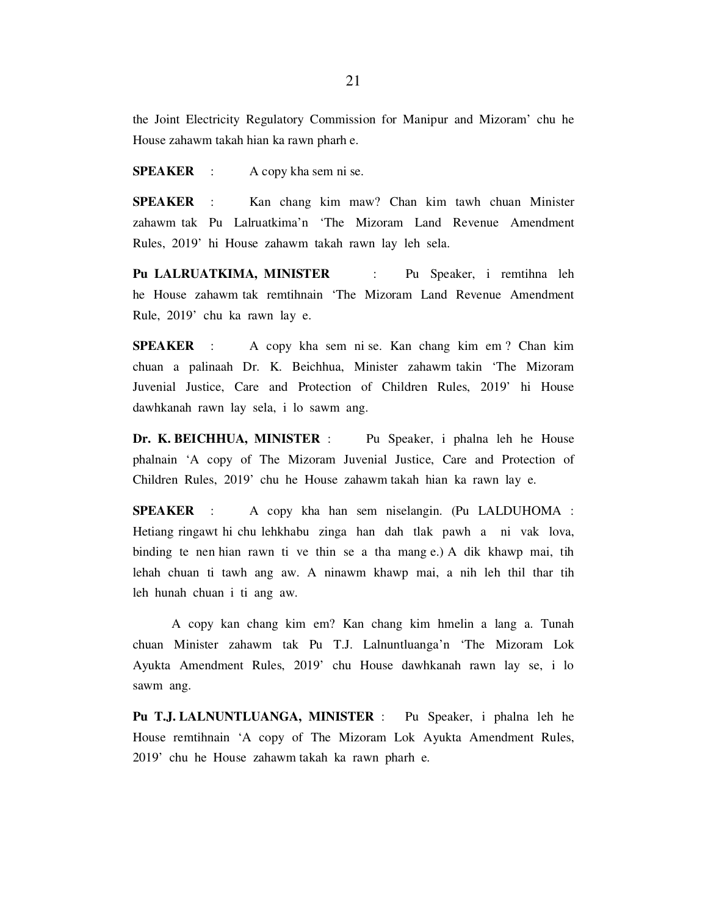the Joint Electricity Regulatory Commission for Manipur and Mizoram' chu he House zahawm takah hian ka rawn pharh e.

SPEAKER : A copy kha sem ni se.

SPEAKER : Kan chang kim maw? Chan kim tawh chuan Minister zahawm tak Pu Lalruatkima'n 'The Mizoram Land Revenue Amendment Rules, 2019' hi House zahawm takah rawn lay leh sela.

Pu LALRUATKIMA, MINISTER : Pu Speaker, i remtihna leh he House zahawm tak remtihnain 'The Mizoram Land Revenue Amendment Rule, 2019' chu ka rawn lay e.

SPEAKER : A copy kha sem ni se. Kan chang kim em ? Chan kim chuan a palinaah Dr. K. Beichhua, Minister zahawm takin 'The Mizoram Juvenial Justice, Care and Protection of Children Rules, 2019' hi House dawhkanah rawn lay sela, i lo sawm ang.

Dr. K. BEICHHUA, MINISTER : Pu Speaker, i phalna leh he House phalnain 'A copy of The Mizoram Juvenial Justice, Care and Protection of Children Rules, 2019' chu he House zahawm takah hian ka rawn lay e.

SPEAKER : A copy kha han sem niselangin. (Pu LALDUHOMA : Hetiang ringawt hi chu lehkhabu zinga han dah tlak pawh a ni vak lova, binding te nen hian rawn ti ve thin se a tha mang e.) A dik khawp mai, tih lehah chuan ti tawh ang aw. A ninawm khawp mai, a nih leh thil thar tih leh hunah chuan i ti ang aw.

 A copy kan chang kim em? Kan chang kim hmelin a lang a. Tunah chuan Minister zahawm tak Pu T.J. Lalnuntluanga'n 'The Mizoram Lok Ayukta Amendment Rules, 2019' chu House dawhkanah rawn lay se, i lo sawm ang.

Pu T.J. LALNUNTLUANGA, MINISTER : Pu Speaker, i phalna leh he House remtihnain 'A copy of The Mizoram Lok Ayukta Amendment Rules, 2019' chu he House zahawm takah ka rawn pharh e.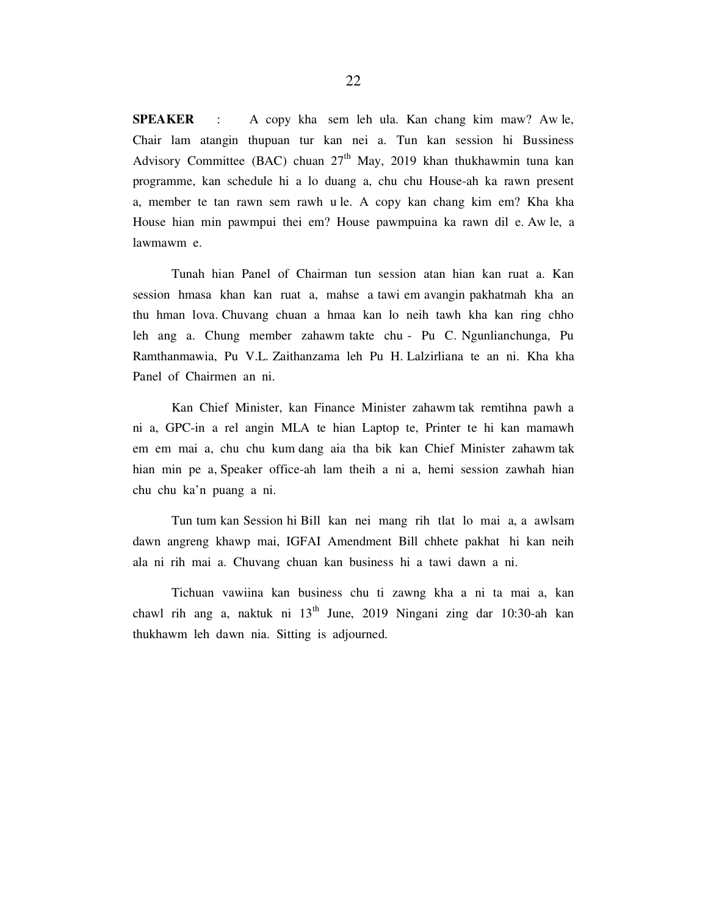SPEAKER : A copy kha sem leh ula. Kan chang kim maw? Aw le, Chair lam atangin thupuan tur kan nei a. Tun kan session hi Bussiness Advisory Committee (BAC) chuan  $27<sup>th</sup>$  May, 2019 khan thukhawmin tuna kan programme, kan schedule hi a lo duang a, chu chu House-ah ka rawn present a, member te tan rawn sem rawh u le. A copy kan chang kim em? Kha kha House hian min pawmpui thei em? House pawmpuina ka rawn dil e. Aw le, a lawmawm e.

 Tunah hian Panel of Chairman tun session atan hian kan ruat a. Kan session hmasa khan kan ruat a, mahse a tawi em avangin pakhatmah kha an thu hman lova. Chuvang chuan a hmaa kan lo neih tawh kha kan ring chho leh ang a. Chung member zahawm takte chu - Pu C. Ngunlianchunga, Pu Ramthanmawia, Pu V.L. Zaithanzama leh Pu H. Lalzirliana te an ni. Kha kha Panel of Chairmen an ni.

 Kan Chief Minister, kan Finance Minister zahawm tak remtihna pawh a ni a, GPC-in a rel angin MLA te hian Laptop te, Printer te hi kan mamawh em em mai a, chu chu kum dang aia tha bik kan Chief Minister zahawm tak hian min pe a, Speaker office-ah lam theih a ni a, hemi session zawhah hian chu chu ka'n puang a ni.

 Tun tum kan Session hi Bill kan nei mang rih tlat lo mai a, a awlsam dawn angreng khawp mai, IGFAI Amendment Bill chhete pakhat hi kan neih ala ni rih mai a. Chuvang chuan kan business hi a tawi dawn a ni.

 Tichuan vawiina kan business chu ti zawng kha a ni ta mai a, kan chawl rih ang a, naktuk ni  $13<sup>th</sup>$  June, 2019 Ningani zing dar 10:30-ah kan thukhawm leh dawn nia. Sitting is adjourned.